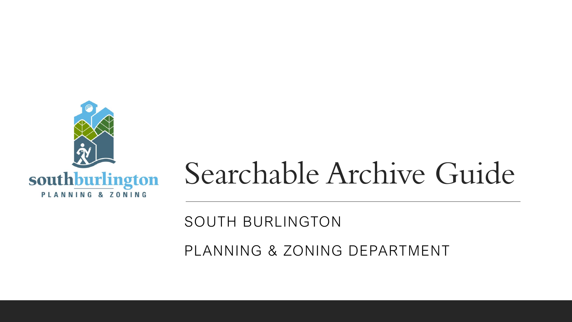

# Searchable Archive Guide

#### SOUTH BURLINGTON

PLANNING & ZONING DEPARTMENT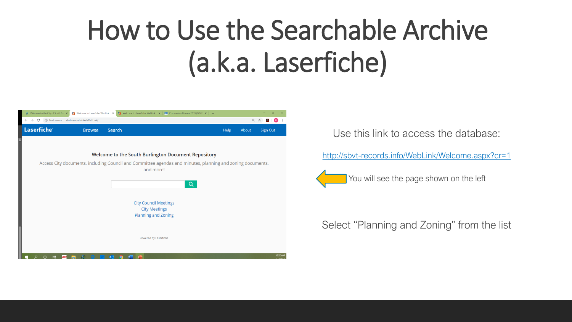# How to Use the Searchable Archive (a.k.a. Laserfiche)

| M Welcome to the City of South Bur X | Welcome to Laserfiche WebLink X             |                         | T Welcome to Laserfiche WebLink $\mathbf{x}$   $\overline{\mathbf{w}}$ Coronavirus Disease 2019 (COVIE $\mathbf{x}$   $+$ |       | $\Box$                     |                       |
|--------------------------------------|---------------------------------------------|-------------------------|---------------------------------------------------------------------------------------------------------------------------|-------|----------------------------|-----------------------|
| C<br>$\leftarrow$<br>$\rightarrow$   | (i) Not secure   sbvt-records.info/WebLink/ |                         |                                                                                                                           |       | $\oplus$<br>☆<br>$\lambda$ | Ð                     |
| <b>Laserfiche</b>                    | <b>Browse</b>                               | Search                  | Help                                                                                                                      | About | <b>Sign Out</b>            |                       |
|                                      |                                             |                         |                                                                                                                           |       |                            |                       |
|                                      |                                             |                         | Welcome to the South Burlington Document Repository                                                                       |       |                            |                       |
|                                      |                                             |                         | Access City documents, including Council and Committee agendas and minutes, planning and zoning documents,<br>and more!   |       |                            |                       |
|                                      |                                             |                         | Q                                                                                                                         |       |                            |                       |
|                                      |                                             |                         | <b>City Council Meetings</b>                                                                                              |       |                            |                       |
|                                      |                                             |                         | <b>City Meetings</b><br>Planning and Zoning                                                                               |       |                            |                       |
|                                      |                                             |                         |                                                                                                                           |       |                            |                       |
|                                      |                                             |                         | Powered by Laserfiche                                                                                                     |       |                            |                       |
|                                      |                                             |                         |                                                                                                                           |       |                            |                       |
| æ<br>ьŧ                              |                                             | $\overline{\mathbf{o}}$ |                                                                                                                           |       |                            | 10:32 AM<br>2/17/2020 |

Use this link to access the database:

<http://sbvt-records.info/WebLink/Welcome.aspx?cr=1>



#### Select "Planning and Zoning" from the list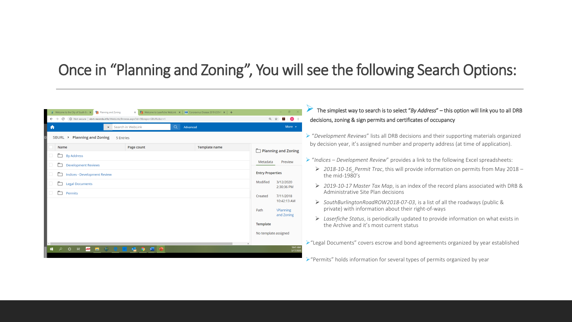#### Once in "Planning and Zoning", You will see the following Search Options:

| Welcome to the City of South Bun x Pu Planning and Zoning<br>← → C © Not secure   sbvt-records.info/WebLink/Browse.aspx?id=9&repo=SBURL&cr=1 |                             |                                     | Q A A D                                                                                                                        | decisions, zoning & sign permits and certificates of occupancy                                                                                    |
|----------------------------------------------------------------------------------------------------------------------------------------------|-----------------------------|-------------------------------------|--------------------------------------------------------------------------------------------------------------------------------|---------------------------------------------------------------------------------------------------------------------------------------------------|
|                                                                                                                                              | $\bullet$ Search in WebLink | Q Advanced                          | More $\sim$                                                                                                                    |                                                                                                                                                   |
| SBURL > Planning and Zoning<br>5 Entries                                                                                                     |                             |                                     | $\triangleright$ "Development Reviews" lists all DRB decisions and their supporting materials organized                        |                                                                                                                                                   |
| Name                                                                                                                                         | Page count                  | <b>Template name</b>                | Planning and Zoning                                                                                                            | by decision year, it's assigned number and property address (at time of application).                                                             |
| By Address<br>Development Reviews<br>Indices - Development Review<br>Legal Documents<br>$\Box$ Permits                                       |                             | Preview<br>Metadata                 | $\triangleright$ "Indices – Development Review" provides a link to the following Excel spreadsheets:                           |                                                                                                                                                   |
|                                                                                                                                              |                             | <b>Entry Properties</b>             | $\triangleright$ 2018-10-16 Permit Trac, this will provide information on permits from May 2018 –<br>the mid-1980's            |                                                                                                                                                   |
|                                                                                                                                              |                             | 3/12/2020<br>Modified<br>2:30:36 PM | $\geq 2019$ -10-17 Master Tax Map, is an index of the record plans associated with DRB &<br>Administrative Site Plan decisions |                                                                                                                                                   |
|                                                                                                                                              |                             |                                     | 7/11/2018<br>Created<br>10:42:13 AM<br>Path<br><b>\Planning</b>                                                                | $\triangleright$ SouthBurlingtonRoadROW2018-07-03, is a list of all the roadways (public &<br>private) with information about their right-of-ways |
|                                                                                                                                              |                             |                                     | and Zoning<br>Template                                                                                                         | $\triangleright$ Laserfiche Status, is periodically updated to provide information on what exists in<br>the Archive and it's most current status  |
|                                                                                                                                              |                             |                                     | No template assigned                                                                                                           |                                                                                                                                                   |
|                                                                                                                                              |                             |                                     | 10:41 AM<br>3/17/20                                                                                                            | $\triangleright$ "Legal Documents" covers escrow and bond agreements organized by year established                                                |

➢"Permits" holds information for several types of permits organized by year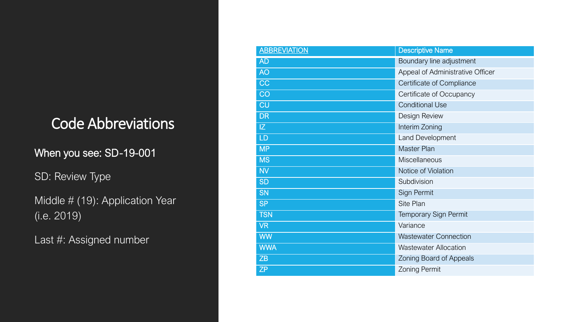### Code Abbreviations

When you see: SD -19 -001

SD: Review Type

Middle # (19): Application Year (i.e. 2019)

Last #: Assigned number

| <b>ABBREVIATION</b> | <b>Descriptive Name</b>          |
|---------------------|----------------------------------|
| <b>AD</b>           | Boundary line adjustment         |
| <b>AO</b>           | Appeal of Administrative Officer |
| CC                  | Certificate of Compliance        |
| CO                  | Certificate of Occupancy         |
| <b>CU</b>           | <b>Conditional Use</b>           |
| <b>DR</b>           | Design Review                    |
| IZ.                 | Interim Zoning                   |
| LD                  | Land Development                 |
| <b>MP</b>           | <b>Master Plan</b>               |
| <b>MS</b>           | Miscellaneous                    |
| <b>NV</b>           | Notice of Violation              |
| <b>SD</b>           | Subdivision                      |
| <b>SN</b>           | Sign Permit                      |
| <b>SP</b>           | Site Plan                        |
| <b>TSN</b>          | <b>Temporary Sign Permit</b>     |
| <b>VR</b>           | Variance                         |
| <b>WW</b>           | <b>Wastewater Connection</b>     |
| <b>WWA</b>          | <b>Wastewater Allocation</b>     |
| ZB                  | Zoning Board of Appeals          |
| <b>ZP</b>           | <b>Zoning Permit</b>             |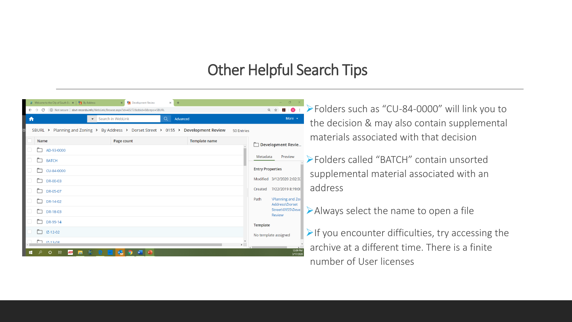#### Other Helpful Search Tips

| Welcome to the City of South Bun $\times$ $\left  \begin{array}{c} \blacksquare$ By Address<br>X Pu Development Review<br>$\times$ +<br>1980 Not secure   sbvt-records.info/WebLink/Browse.aspx?id=43272&dbid=0&repo=SBURL<br>More $\rightarrow$<br>$\bullet$ Search in WebLink<br>Q.<br>Advanced |            |               |                                                                       | <b>A &amp; B O :</b> > Folders such as "CU-84-0000" will link you to<br>the decision & may also contain supplemental        |
|---------------------------------------------------------------------------------------------------------------------------------------------------------------------------------------------------------------------------------------------------------------------------------------------------|------------|---------------|-----------------------------------------------------------------------|-----------------------------------------------------------------------------------------------------------------------------|
| SBURL > Planning and Zoning > By Address > Dorset Street > 0155 > Development Review<br>50 Entries                                                                                                                                                                                                |            |               |                                                                       |                                                                                                                             |
| <b>Name</b>                                                                                                                                                                                                                                                                                       | Page count | Template name | Development Revie                                                     | materials associated with that decision                                                                                     |
| $AD-93-0000$<br>⊓<br><b>BATCH</b><br>ħ<br>CU-84-0000<br>DR-00-03<br>m.<br>DR-05-07<br>m<br>DR-14-02                                                                                                                                                                                               |            |               |                                                                       | Epiders called "BATCH" contain unsorted<br>supplemental material associated with an<br>address                              |
| m<br>DR-18-03<br>m<br>DR-99-14<br>$L = 12 - 02$                                                                                                                                                                                                                                                   |            |               | Street\0155\Deve<br><b>Review</b><br>Template<br>No template assigned | $\triangleright$ Always select the name to open a file<br>$\triangleright$ If you encounter difficulties, try accessing the |
| $\sqrt{117.13.08}$                                                                                                                                                                                                                                                                                |            |               | $\overrightarrow{12:09}$ PM<br>3/17/2020                              | archive at a different time. There is a finite<br>number of User licenses                                                   |